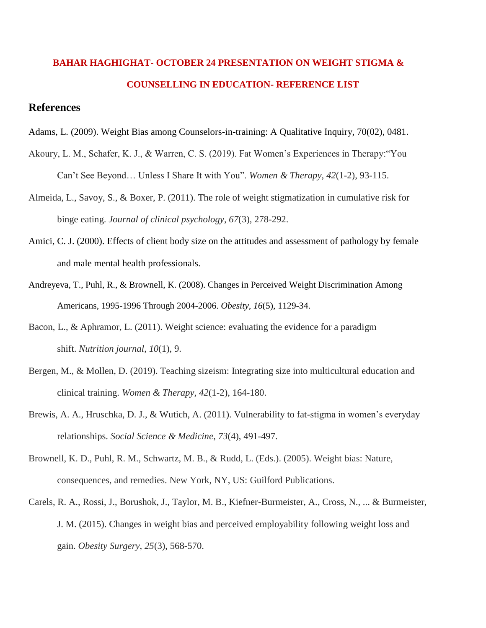## **BAHAR HAGHIGHAT- OCTOBER 24 PRESENTATION ON WEIGHT STIGMA & COUNSELLING IN EDUCATION- REFERENCE LIST**

## **References**

- Adams, L. (2009). Weight Bias among Counselors-in-training: A Qualitative Inquiry, 70(02), 0481.
- Akoury, L. M., Schafer, K. J., & Warren, C. S. (2019). Fat Women's Experiences in Therapy:"You Can't See Beyond… Unless I Share It with You". *Women & Therapy*, *42*(1-2), 93-115.
- Almeida, L., Savoy, S., & Boxer, P. (2011). The role of weight stigmatization in cumulative risk for binge eating. *Journal of clinical psychology*, *67*(3), 278-292.
- Amici, C. J. (2000). Effects of client body size on the attitudes and assessment of pathology by female and male mental health professionals.
- Andreyeva, T., Puhl, R., & Brownell, K. (2008). Changes in Perceived Weight Discrimination Among Americans, 1995-1996 Through 2004-2006. *Obesity, 16*(5), 1129-34.
- Bacon, L., & Aphramor, L. (2011). Weight science: evaluating the evidence for a paradigm shift. *Nutrition journal*, *10*(1), 9.
- Bergen, M., & Mollen, D. (2019). Teaching sizeism: Integrating size into multicultural education and clinical training. *Women & Therapy*, *42*(1-2), 164-180.
- Brewis, A. A., Hruschka, D. J., & Wutich, A. (2011). Vulnerability to fat-stigma in women's everyday relationships. *Social Science & Medicine*, *73*(4), 491-497.
- Brownell, K. D., Puhl, R. M., Schwartz, M. B., & Rudd, L. (Eds.). (2005). Weight bias: Nature, consequences, and remedies. New York, NY, US: Guilford Publications.
- Carels, R. A., Rossi, J., Borushok, J., Taylor, M. B., Kiefner-Burmeister, A., Cross, N., ... & Burmeister, J. M. (2015). Changes in weight bias and perceived employability following weight loss and gain. *Obesity Surgery*, *25*(3), 568-570.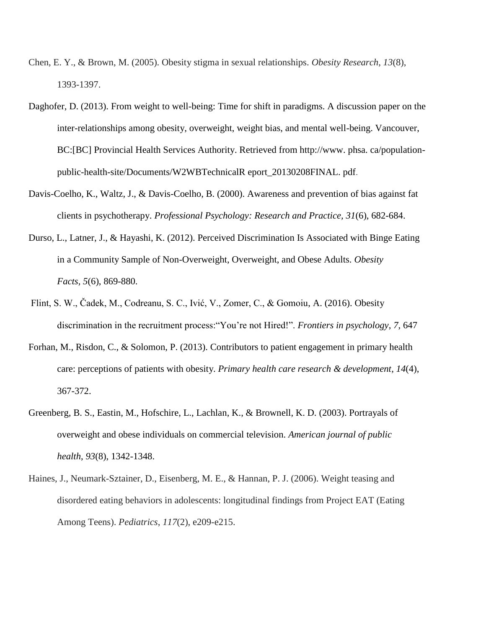- Chen, E. Y., & Brown, M. (2005). Obesity stigma in sexual relationships. *Obesity Research*, *13*(8), 1393-1397.
- Daghofer, D. (2013). From weight to well-being: Time for shift in paradigms. A discussion paper on the inter-relationships among obesity, overweight, weight bias, and mental well-being. Vancouver, BC:[BC] Provincial Health Services Authority. Retrieved from http://www. phsa. ca/populationpublic-health-site/Documents/W2WBTechnicalR eport\_20130208FINAL. pdf.
- Davis-Coelho, K., Waltz, J., & Davis-Coelho, B. (2000). Awareness and prevention of bias against fat clients in psychotherapy. *Professional Psychology: Research and Practice, 31*(6), 682-684.
- Durso, L., Latner, J., & Hayashi, K. (2012). Perceived Discrimination Is Associated with Binge Eating in a Community Sample of Non-Overweight, Overweight, and Obese Adults. *Obesity Facts, 5*(6), 869-880.
- Flint, S. W., Čadek, M., Codreanu, S. C., Ivić, V., Zomer, C., & Gomoiu, A. (2016). Obesity discrimination in the recruitment process:"You're not Hired!". *Frontiers in psychology*, *7*, 647
- Forhan, M., Risdon, C., & Solomon, P. (2013). Contributors to patient engagement in primary health care: perceptions of patients with obesity. *Primary health care research & development*, *14*(4), 367-372.
- Greenberg, B. S., Eastin, M., Hofschire, L., Lachlan, K., & Brownell, K. D. (2003). Portrayals of overweight and obese individuals on commercial television. *American journal of public health*, *93*(8), 1342-1348.
- Haines, J., Neumark-Sztainer, D., Eisenberg, M. E., & Hannan, P. J. (2006). Weight teasing and disordered eating behaviors in adolescents: longitudinal findings from Project EAT (Eating Among Teens). *Pediatrics*, *117*(2), e209-e215.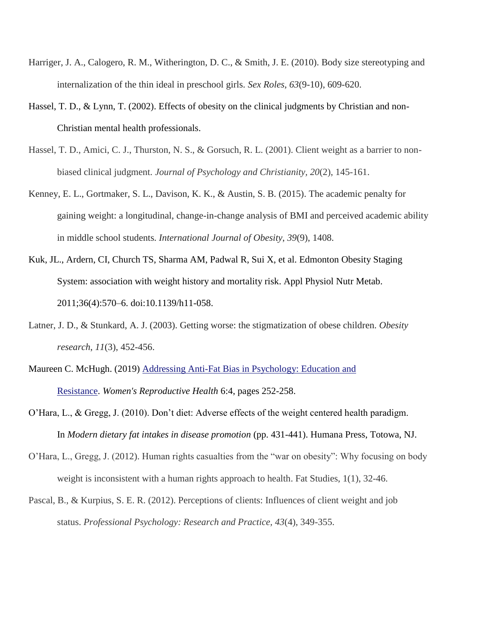- Harriger, J. A., Calogero, R. M., Witherington, D. C., & Smith, J. E. (2010). Body size stereotyping and internalization of the thin ideal in preschool girls. *Sex Roles*, *63*(9-10), 609-620.
- Hassel, T. D., & Lynn, T. (2002). Effects of obesity on the clinical judgments by Christian and non-Christian mental health professionals.
- Hassel, T. D., Amici, C. J., Thurston, N. S., & Gorsuch, R. L. (2001). Client weight as a barrier to nonbiased clinical judgment. *Journal of Psychology and Christianity, 20*(2), 145-161.
- Kenney, E. L., Gortmaker, S. L., Davison, K. K., & Austin, S. B. (2015). The academic penalty for gaining weight: a longitudinal, change-in-change analysis of BMI and perceived academic ability in middle school students. *International Journal of Obesity*, *39*(9), 1408.
- Kuk, JL., Ardern, CI, Church TS, Sharma AM, Padwal R, Sui X, et al. Edmonton Obesity Staging System: association with weight history and mortality risk. Appl Physiol Nutr Metab. 2011;36(4):570–6. doi:10.1139/h11-058.
- Latner, J. D., & Stunkard, A. J. (2003). Getting worse: the stigmatization of obese children. *Obesity research*, *11*(3), 452-456.
- Maureen C. McHugh. (2019) [Addressing Anti-Fat Bias in Psychology: Education and](https://www.tandfonline.com/doi/abs/10.1080/23293691.2019.1653579)  [Resistance.](https://www.tandfonline.com/doi/abs/10.1080/23293691.2019.1653579) *Women's Reproductive Health* 6:4, pages 252-258.
- O'Hara, L., & Gregg, J. (2010). Don't diet: Adverse effects of the weight centered health paradigm. In *Modern dietary fat intakes in disease promotion* (pp. 431-441). Humana Press, Totowa, NJ.
- O'Hara, L., Gregg, J. (2012). Human rights casualties from the "war on obesity": Why focusing on body weight is inconsistent with a human rights approach to health. Fat Studies, 1(1), 32-46.
- Pascal, B., & Kurpius, S. E. R. (2012). Perceptions of clients: Influences of client weight and job status. *Professional Psychology: Research and Practice, 43*(4), 349-355.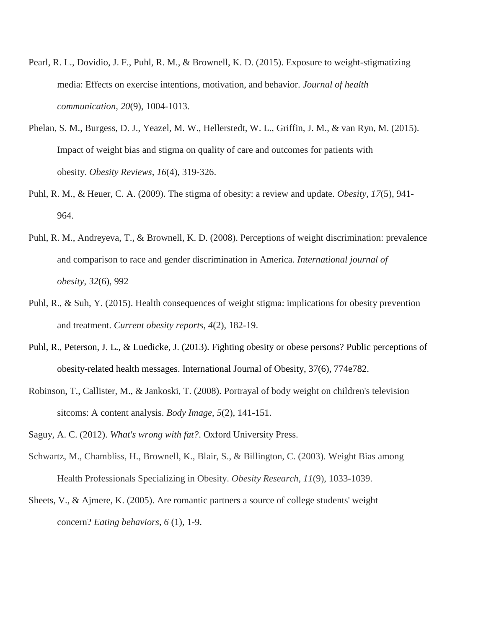- Pearl, R. L., Dovidio, J. F., Puhl, R. M., & Brownell, K. D. (2015). Exposure to weight-stigmatizing media: Effects on exercise intentions, motivation, and behavior. *Journal of health communication*, *20*(9), 1004-1013.
- Phelan, S. M., Burgess, D. J., Yeazel, M. W., Hellerstedt, W. L., Griffin, J. M., & van Ryn, M. (2015). Impact of weight bias and stigma on quality of care and outcomes for patients with obesity. *Obesity Reviews*, *16*(4), 319-326.
- Puhl, R. M., & Heuer, C. A. (2009). The stigma of obesity: a review and update. *Obesity*, *17*(5), 941- 964.
- Puhl, R. M., Andreyeva, T., & Brownell, K. D. (2008). Perceptions of weight discrimination: prevalence and comparison to race and gender discrimination in America. *International journal of obesity*, *32*(6), 992
- Puhl, R., & Suh, Y. (2015). Health consequences of weight stigma: implications for obesity prevention and treatment. *Current obesity reports*, *4*(2), 182-19.
- Puhl, R., Peterson, J. L., & Luedicke, J. (2013). Fighting obesity or obese persons? Public perceptions of obesity-related health messages. International Journal of Obesity, 37(6), 774e782.
- Robinson, T., Callister, M., & Jankoski, T. (2008). Portrayal of body weight on children's television sitcoms: A content analysis. *Body Image*, *5*(2), 141-151.
- Saguy, A. C. (2012). *What's wrong with fat?*. Oxford University Press.
- Schwartz, M., Chambliss, H., Brownell, K., Blair, S., & Billington, C. (2003). Weight Bias among Health Professionals Specializing in Obesity. *Obesity Research, 11*(9), 1033-1039.
- Sheets, V., & Ajmere, K. (2005). Are romantic partners a source of college students' weight concern? *Eating behaviors*, *6* (1), 1-9.